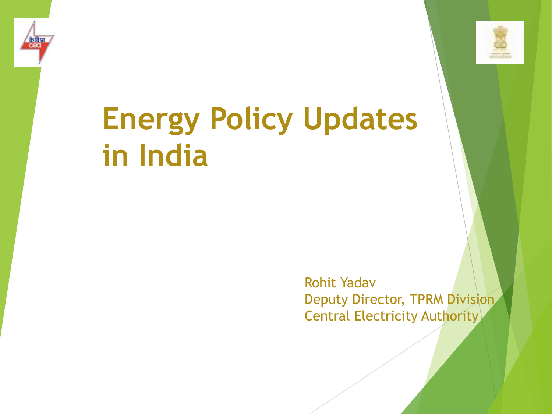



# **Energy Policy Updates in India**

Rohit Yadav Deputy Director, TPRM Division Central Electricity Authority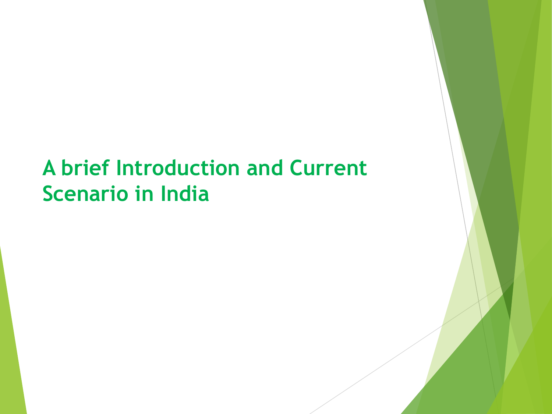## **A brief Introduction and Current Scenario in India**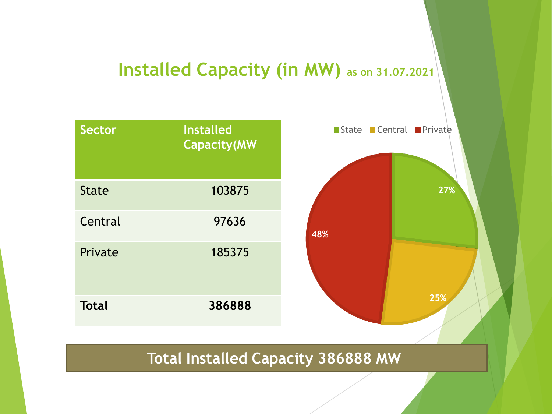### **Installed Capacity (in MW) as on 31.07.2021**



#### **Total Installed Capacity 386888 MW**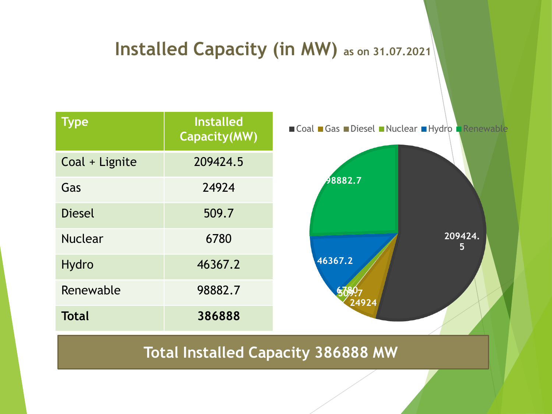#### **Installed Capacity (in MW) as on 31.07.2021**

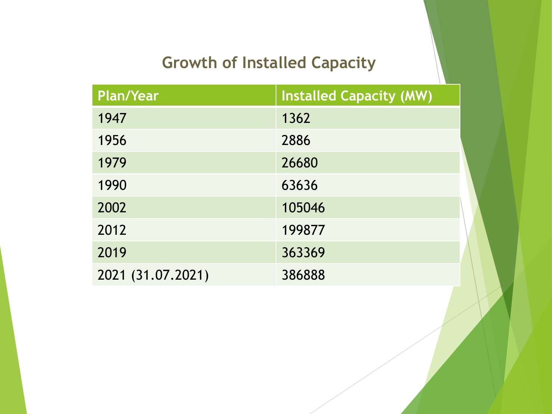### **Growth of Installed Capacity**

| Plan/Year         | <b>Installed Capacity (MW)</b> |
|-------------------|--------------------------------|
| 1947              | 1362                           |
| 1956              | 2886                           |
| 1979              | 26680                          |
| 1990              | 63636                          |
| 2002              | 105046                         |
| 2012              | 199877                         |
| 2019              | 363369                         |
| 2021 (31.07.2021) | 386888                         |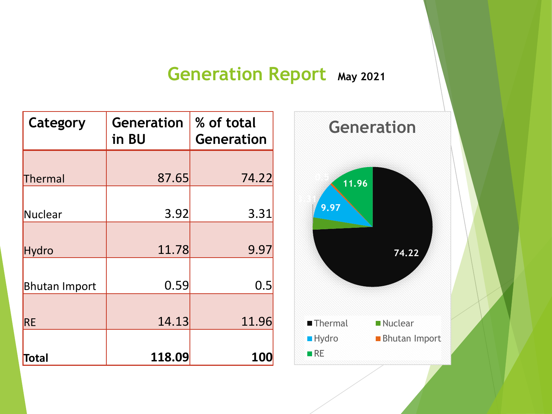#### **Generation Report May 2021**

| Category             | <b>Generation</b><br>in BU | % of total<br><b>Generation</b> |  |
|----------------------|----------------------------|---------------------------------|--|
| Thermal              | 87.65                      | 74.22                           |  |
| Nuclear              | 3.92                       | 3.31                            |  |
| Hydro                | 11.78                      | 9.97                            |  |
| <b>Bhutan Import</b> | 0.59                       | 0.5                             |  |
| <b>RE</b>            | 14.13                      | 11.96                           |  |
| Total                | 118.09                     | <b>100</b>                      |  |

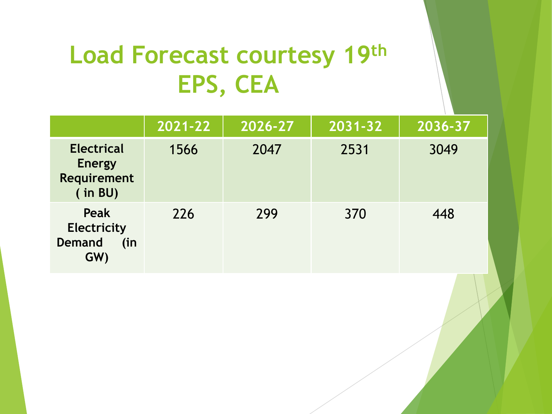## **Load Forecast courtesy 19th EPS, CEA**

|                                                                     | 2021-22 | 2026-27 | $\overline{2031-32}$ | 2036-37 |
|---------------------------------------------------------------------|---------|---------|----------------------|---------|
| <b>Electrical</b><br><b>Energy</b><br><b>Requirement</b><br>(in BU) | 1566    | 2047    | 2531                 | 3049    |
| Peak<br><b>Electricity</b><br><b>Demand</b><br>(in)<br>GW)          | 226     | 299     | 370                  | 448     |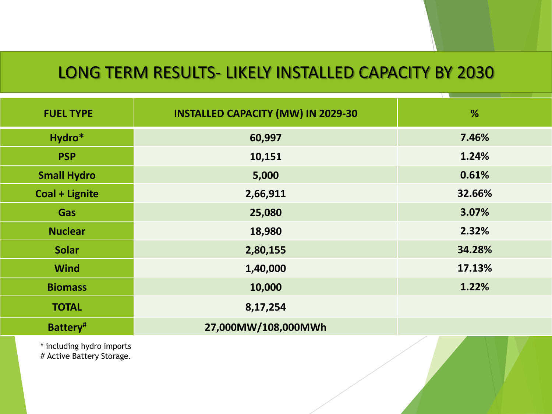#### LONG TERM RESULTS- LIKELY INSTALLED CAPACITY BY 2030

| <b>FUEL TYPE</b>   | <b>INSTALLED CAPACITY (MW) IN 2029-30</b> | %      |
|--------------------|-------------------------------------------|--------|
| Hydro*             | 60,997                                    | 7.46%  |
| <b>PSP</b>         | 10,151                                    | 1.24%  |
| <b>Small Hydro</b> | 5,000                                     | 0.61%  |
| Coal + Lignite     | 2,66,911                                  | 32.66% |
| <b>Gas</b>         | 25,080                                    | 3.07%  |
| <b>Nuclear</b>     | 18,980                                    | 2.32%  |
| <b>Solar</b>       | 2,80,155                                  | 34.28% |
| <b>Wind</b>        | 1,40,000                                  | 17.13% |
| <b>Biomass</b>     | 10,000                                    | 1.22%  |
| <b>TOTAL</b>       | 8,17,254                                  |        |
| Battery#           | 27,000MW/108,000MWh                       |        |
|                    |                                           |        |

\* including hydro imports # Active Battery Storage.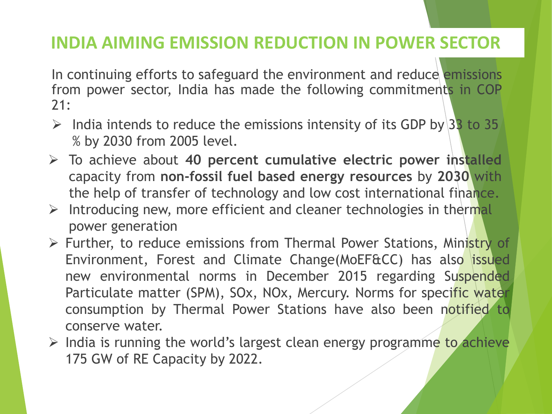#### **INDIA AIMING EMISSION REDUCTION IN POWER SECTOR**

In continuing efforts to safeguard the environment and reduce emissions from power sector, India has made the following commitments in COP 21:

- $\triangleright$  India intends to reduce the emissions intensity of its GDP by 33 to 35 % by 2030 from 2005 level.
- ➢ To achieve about **40 percent cumulative electric power installed** capacity from **non-fossil fuel based energy resources** by **2030** with the help of transfer of technology and low cost international finance.
- $\triangleright$  Introducing new, more efficient and cleaner technologies in thermal power generation
- ➢ Further, to reduce emissions from Thermal Power Stations, Ministry of Environment, Forest and Climate Change(MoEF&CC) has also issued new environmental norms in December 2015 regarding Suspended Particulate matter (SPM), SOx, NOx, Mercury. Norms for specific water consumption by Thermal Power Stations have also been notified to conserve water.
- $\triangleright$  India is running the world's largest clean energy programme to achieve 175 GW of RE Capacity by 2022.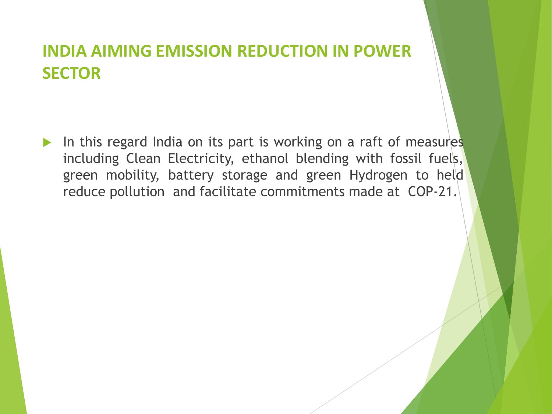#### **INDIA AIMING EMISSION REDUCTION IN POWER SECTOR**

In this regard India on its part is working on a raft of measures including Clean Electricity, ethanol blending with fossil fuels, green mobility, battery storage and green Hydrogen to held reduce pollution and facilitate commitments made at COP-21.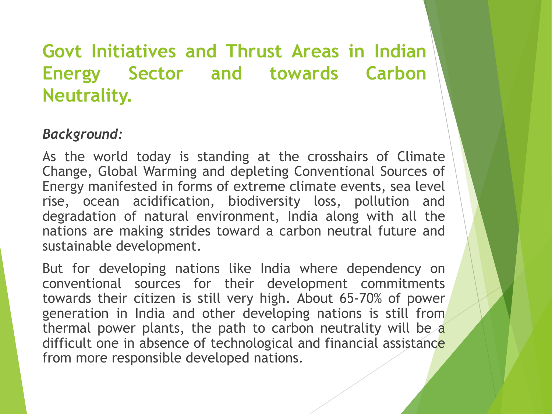#### *Background:*

As the world today is standing at the crosshairs of Climate Change, Global Warming and depleting Conventional Sources of Energy manifested in forms of extreme climate events, sea level rise, ocean acidification, biodiversity loss, pollution and degradation of natural environment, India along with all the nations are making strides toward a carbon neutral future and sustainable development.

But for developing nations like India where dependency on conventional sources for their development commitments towards their citizen is still very high. About 65-70% of power generation in India and other developing nations is still from thermal power plants, the path to carbon neutrality will be  $\alpha$ difficult one in absence of technological and financial assistance from more responsible developed nations.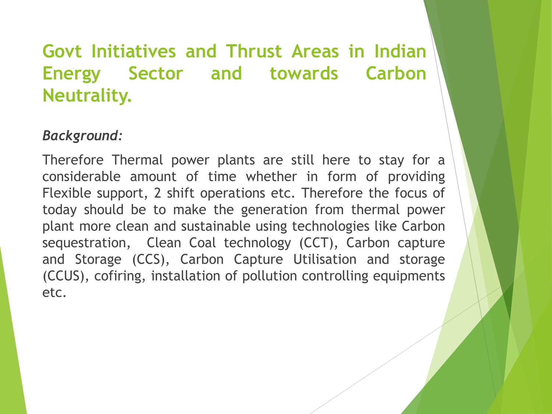#### *Background:*

Therefore Thermal power plants are still here to stay for a considerable amount of time whether in form of providing Flexible support, 2 shift operations etc. Therefore the focus of today should be to make the generation from thermal power plant more clean and sustainable using technologies like Carbon sequestration, Clean Coal technology (CCT), Carbon capture and Storage (CCS), Carbon Capture Utilisation and storage (CCUS), cofiring, installation of pollution controlling equipments etc.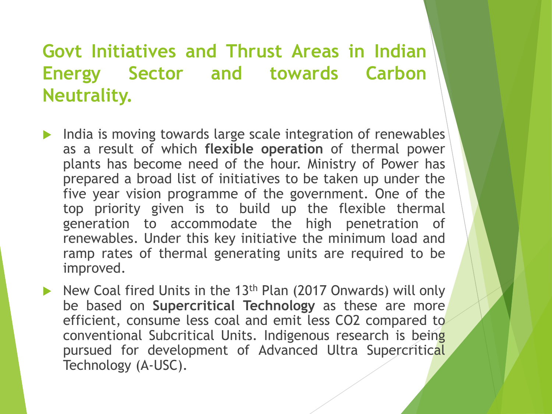- India is moving towards large scale integration of renewables as a result of which **flexible operation** of thermal power plants has become need of the hour. Ministry of Power has prepared a broad list of initiatives to be taken up under the five year vision programme of the government. One of the top priority given is to build up the flexible thermal generation to accommodate the high penetration of renewables. Under this key initiative the minimum load and ramp rates of thermal generating units are required to be improved.
- New Coal fired Units in the 13<sup>th</sup> Plan (2017 Onwards) will only be based on **Supercritical Technology** as these are more efficient, consume less coal and emit less CO2 compared to conventional Subcritical Units. Indigenous research is being pursued for development of Advanced Ultra Supercritical Technology (A-USC).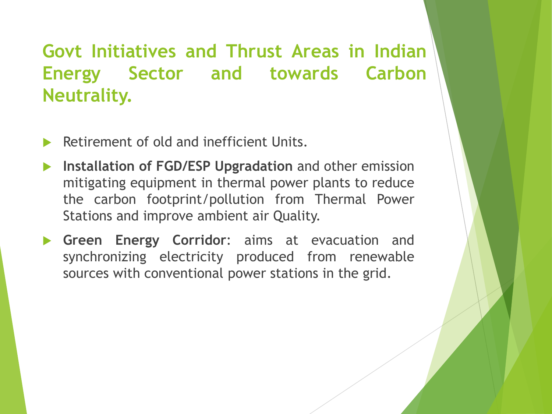- Retirement of old and inefficient Units.
- **Installation of FGD/ESP Upgradation** and other emission mitigating equipment in thermal power plants to reduce the carbon footprint/pollution from Thermal Power Stations and improve ambient air Quality.
- **Green Energy Corridor**: aims at evacuation and synchronizing electricity produced from renewable sources with conventional power stations in the grid.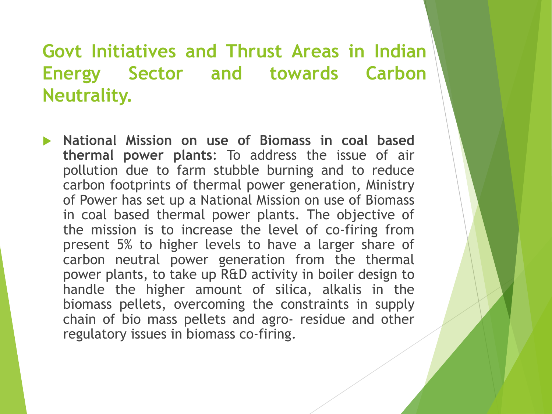**National Mission on use of Biomass in coal based thermal power plants**: To address the issue of air pollution due to farm stubble burning and to reduce carbon footprints of thermal power generation, Ministry of Power has set up a National Mission on use of Biomass in coal based thermal power plants. The objective of the mission is to increase the level of co-firing from present 5% to higher levels to have a larger share of carbon neutral power generation from the thermal power plants, to take up R&D activity in boiler design to handle the higher amount of silica, alkalis in the biomass pellets, overcoming the constraints in supply chain of bio mass pellets and agro- residue and other regulatory issues in biomass co-firing.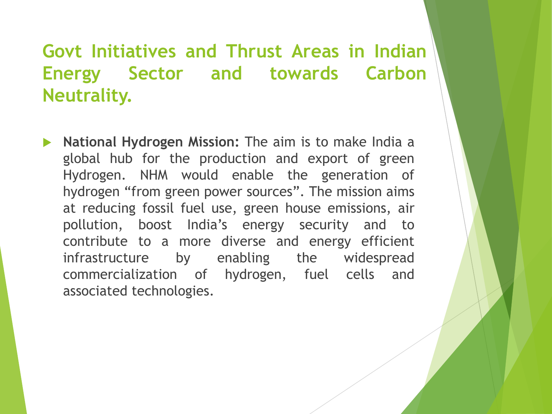**National Hydrogen Mission:** The aim is to make India a global hub for the production and export of green Hydrogen. NHM would enable the generation of hydrogen "from green power sources". The mission aims at reducing fossil fuel use, green house emissions, air pollution, boost India's energy security and to contribute to a more diverse and energy efficient infrastructure by enabling the widespread commercialization of hydrogen, fuel cells and associated technologies.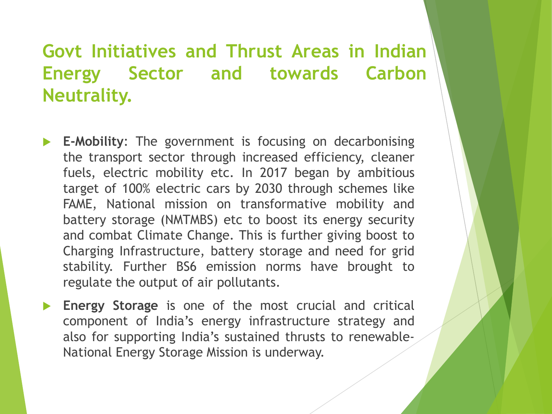- **E-Mobility**: The government is focusing on decarbonising the transport sector through increased efficiency, cleaner fuels, electric mobility etc. In 2017 began by ambitious target of 100% electric cars by 2030 through schemes like FAME, National mission on transformative mobility and battery storage (NMTMBS) etc to boost its energy security and combat Climate Change. This is further giving boost to Charging Infrastructure, battery storage and need for grid stability. Further BS6 emission norms have brought to regulate the output of air pollutants.
- **Energy Storage** is one of the most crucial and critical component of India's energy infrastructure strategy and also for supporting India's sustained thrusts to renewable-National Energy Storage Mission is underway.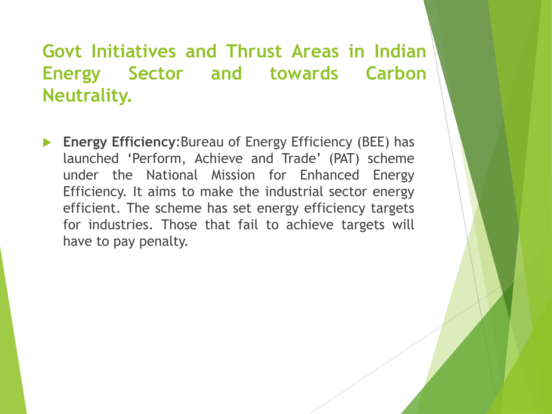**Energy Efficiency**:Bureau of Energy Efficiency (BEE) has launched 'Perform, Achieve and Trade' (PAT) scheme under the National Mission for Enhanced Energy Efficiency. It aims to make the industrial sector energy efficient. The scheme has set energy efficiency targets for industries. Those that fail to achieve targets will have to pay penalty.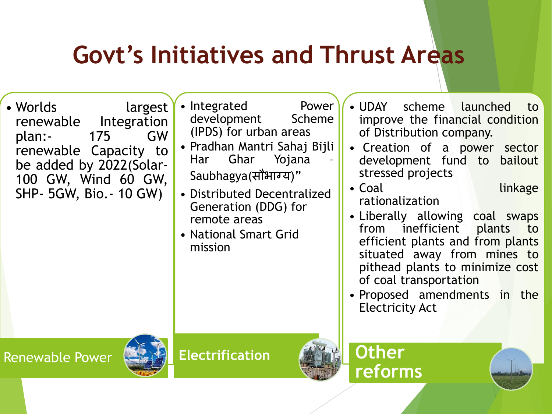## **Govt's Initiatives and Thrust Areas**

- Worlds largest renewable Integration plan:- 175 GW renewable Capacity to be added by 2022(Solar-100 GW, Wind 60 GW, SHP- 5GW, Bio.- 10 GW)
- Integrated Power development Scheme (IPDS) for urban areas
- Pradhan Mantri Sahaj Bijli Har Ghar Yojana – Saubhagya(सौभाग्य)"
- Distributed Decentralized Generation (DDG) for remote areas
- National Smart Grid mission
- UDAY scheme launched to improve the financial condition of Distribution company.
- Creation of a power sector development fund to bailout stressed projects
- Coal linkage rationalization
- Liberally allowing coal swaps from inefficient plants to efficient plants and from plants situated away from mines to pithead plants to minimize cost of coal transportation
- Proposed amendments in the Electricity Act





**Electrification**



**Other reforms**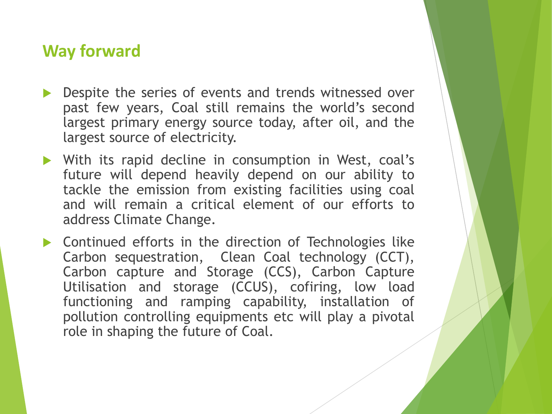#### **Way forward**

- Despite the series of events and trends witnessed over past few years, Coal still remains the world's second largest primary energy source today, after oil, and the largest source of electricity.
- With its rapid decline in consumption in West, coal's future will depend heavily depend on our ability to tackle the emission from existing facilities using coal and will remain a critical element of our efforts to address Climate Change.
- Continued efforts in the direction of Technologies like Carbon sequestration, Clean Coal technology (CCT), Carbon capture and Storage (CCS), Carbon Capture Utilisation and storage (CCUS), cofiring, low load functioning and ramping capability, installation of pollution controlling equipments etc will play a pivotal role in shaping the future of Coal.